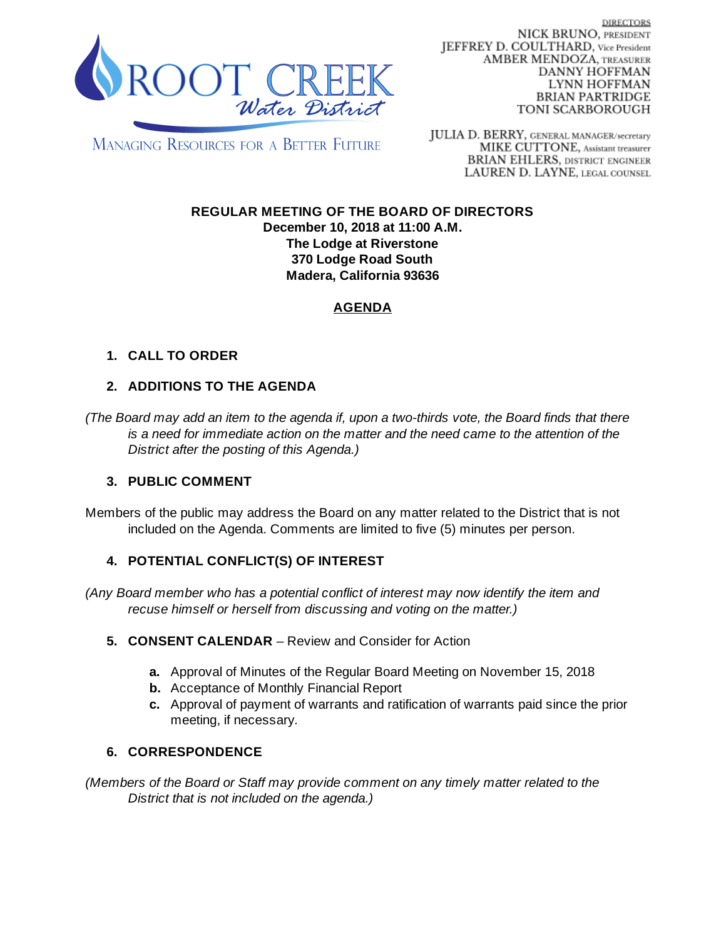

**DIRECTORS** NICK BRUNO, PRESIDENT JEFFREY D. COULTHARD, Vice President **AMBER MENDOZA, TREASURER** DANNY HOFFMAN LYNN HOFFMAN BRIAN PARTRIDGE TONI SCARBOROUGH

**MANAGING RESOURCES FOR A BETTER FUTURE** 

**JULIA D. BERRY, GENERAL MANAGER/secretary** MIKE CUTTONE, Assistant treasurer **BRIAN EHLERS, DISTRICT ENGINEER** LAUREN D. LAYNE, LEGAL COUNSEL

**REGULAR MEETING OF THE BOARD OF DIRECTORS December 10, 2018 at 11:00 A.M. The Lodge at Riverstone 370 Lodge Road South Madera, California 93636**

## **AGENDA**

# **1. CALL TO ORDER**

## **2. ADDITIONS TO THE AGENDA**

(The Board may add an item to the agenda if, upon a two-thirds vote, the Board finds that there *is a need for immediate action on the matter and the need came to the attention of the District after the posting of this Agenda.)*

#### **3. PUBLIC COMMENT**

Members of the public may address the Board on any matter related to the District that is not included on the Agenda. Comments are limited to five (5) minutes per person.

## **4. POTENTIAL CONFLICT(S) OF INTEREST**

*(Any Board member who has a potential conflict of interest may now identify the item and recuse himself or herself from discussing and voting on the matter.)*

#### **5. CONSENT CALENDAR** – Review and Consider for Action

- **a.** Approval of Minutes of the Regular Board Meeting on November 15, 2018
- **b.** Acceptance of Monthly Financial Report
- **c.** Approval of payment of warrants and ratification of warrants paid since the prior meeting, if necessary.

#### **6. CORRESPONDENCE**

*(Members of the Board or Staff may provide comment on any timely matter related to the District that is not included on the agenda.)*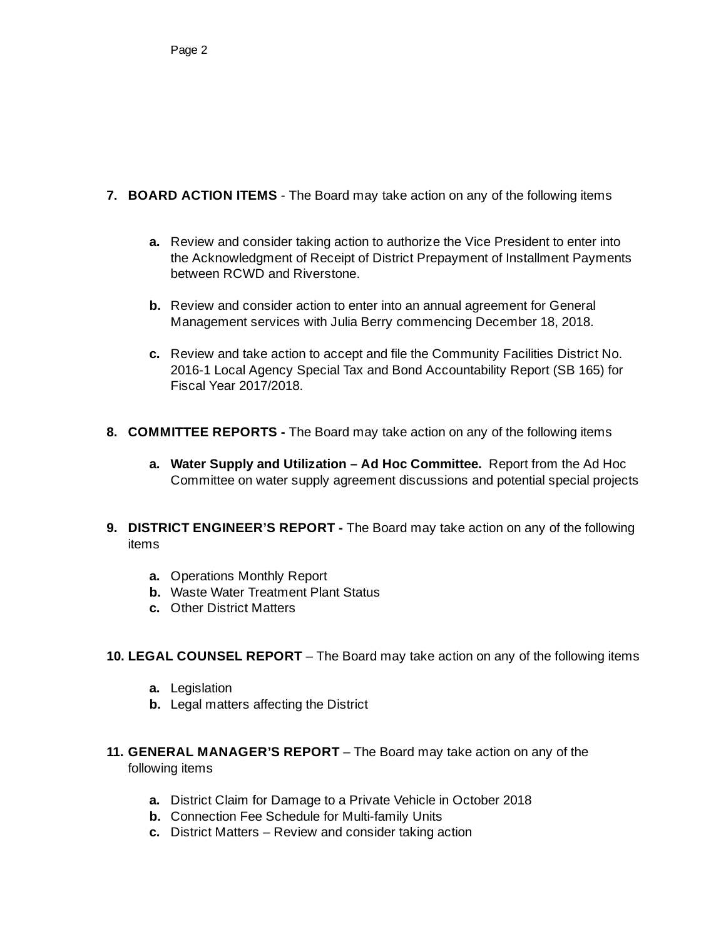#### **7. BOARD ACTION ITEMS** - The Board may take action on any of the following items

- **a.** Review and consider taking action to authorize the Vice President to enter into the Acknowledgment of Receipt of District Prepayment of Installment Payments between RCWD and Riverstone.
- **b.** Review and consider action to enter into an annual agreement for General Management services with Julia Berry commencing December 18, 2018.
- **c.** Review and take action to accept and file the Community Facilities District No. 2016-1 Local Agency Special Tax and Bond Accountability Report (SB 165) for Fiscal Year 2017/2018.
- **8. COMMITTEE REPORTS -** The Board may take action on any of the following items
	- **a. Water Supply and Utilization – Ad Hoc Committee.** Report from the Ad Hoc Committee on water supply agreement discussions and potential special projects
- **9. DISTRICT ENGINEER'S REPORT -** The Board may take action on any of the following items
	- **a.** Operations Monthly Report
	- **b.** Waste Water Treatment Plant Status
	- **c.** Other District Matters
- **10. LEGAL COUNSEL REPORT** The Board may take action on any of the following items
	- **a.** Legislation
	- **b.** Legal matters affecting the District
- **11. GENERAL MANAGER'S REPORT** The Board may take action on any of the following items
	- **a.** District Claim for Damage to a Private Vehicle in October 2018
	- **b.** Connection Fee Schedule for Multi-family Units
	- **c.** District Matters Review and consider taking action